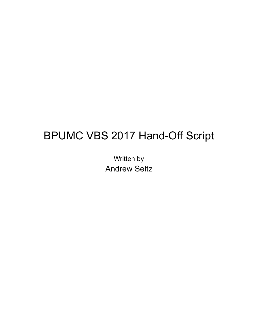# BPUMC VBS 2017 Hand-Off Script

Written by Andrew Seltz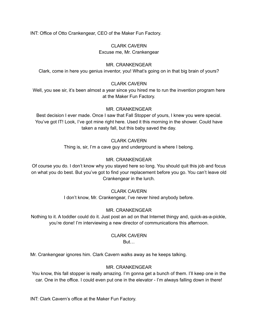INT: Office of Otto Crankengear, CEO of the Maker Fun Factory.

### CLARK CAVERN Excuse me, Mr. Crankengear

#### MR. CRANKENGEAR

Clark, come in here you genius inventor, you! What's going on in that big brain of yours?

#### CLARK CAVERN

Well, you see sir, it's been almost a year since you hired me to run the invention program here at the Maker Fun Factory.

#### MR. CRANKENGEAR

Best decision I ever made. Once I saw that Fall Stopper of yours, I knew you were special. You've got IT! Look, I've got mine right here. Used it this morning in the shower. Could have taken a nasty fall, but this baby saved the day.

#### CLARK CAVERN

Thing is, sir, I'm a cave guy and underground is where I belong.

#### MR. CRANKENGEAR

Of course you do. I don't know why you stayed here so long. You should quit this job and focus on what you do best. But you've got to find your replacement before you go. You can't leave old Crankengear in the lurch.

#### CLARK CAVERN

I don't know, Mr. Crankengear, I've never hired anybody before.

#### MR. CRANKENGEAR

Nothing to it. A toddler could do it. Just post an ad on that Internet thingy and, quick-as-a-pickle, you're done! I'm interviewing a new director of communications this afternoon.

#### CLARK CAVERN But…

Mr. Crankengear ignores him. Clark Cavern walks away as he keeps talking.

#### MR. CRANKENGEAR

You know, this fall stopper is really amazing. I'm gonna get a bunch of them. I'll keep one in the car. One in the office. I could even put one in the elevator - I'm always falling down in there!

INT: Clark Cavern's office at the Maker Fun Factory.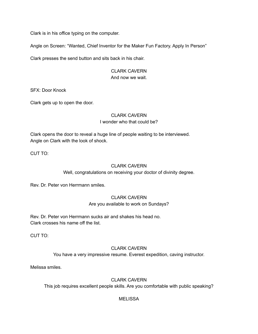Clark is in his office typing on the computer.

Angle on Screen: "Wanted, Chief Inventor for the Maker Fun Factory. Apply In Person"

Clark presses the send button and sits back in his chair.

#### CLARK CAVERN And now we wait.

SFX: Door Knock

Clark gets up to open the door.

### CLARK CAVERN I wonder who that could be?

Clark opens the door to reveal a huge line of people waiting to be interviewed. Angle on Clark with the look of shock.

CUT TO:

#### CLARK CAVERN

Well, congratulations on receiving your doctor of divinity degree.

Rev. Dr. Peter von Herrmann smiles.

#### CLARK CAVERN

Are you available to work on Sundays?

Rev. Dr. Peter von Herrmann sucks air and shakes his head no. Clark crosses his name off the list.

CUT TO:

#### CLARK CAVERN

You have a very impressive resume. Everest expedition, caving instructor.

Melissa smiles.

#### CLARK CAVERN

This job requires excellent people skills. Are you comfortable with public speaking?

#### MELISSA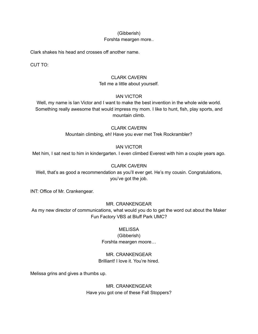#### (Gibberish)

#### Forshta meargen more..

Clark shakes his head and crosses off another name.

CUT TO:

# CLARK CAVERN

Tell me a little about yourself.

#### IAN VICTOR

Well, my name is Ian Victor and I want to make the best invention in the whole wide world. Something really awesome that would impress my mom. I like to hunt, fish, play sports, and mountain climb.

#### CLARK CAVERN

Mountain climbing, eh! Have you ever met Trek Rockrambler?

#### IAN VICTOR

Met him, I sat next to him in kindergarten. I even climbed Everest with him a couple years ago.

### CLARK CAVERN

Well, that's as good a recommendation as you'll ever get. He's my cousin. Congratulations, you've got the job.

INT: Office of Mr. Crankengear.

#### MR. CRANKENGEAR

As my new director of communications, what would you do to get the word out about the Maker Fun Factory VBS at Bluff Park UMC?

#### **MELISSA**

#### (Gibberish) Forshta meargen moore…

# MR. CRANKENGEAR

Brilliant! I love it. You're hired.

Melissa grins and gives a thumbs up.

MR. CRANKENGEAR Have you got one of these Fall Stoppers?